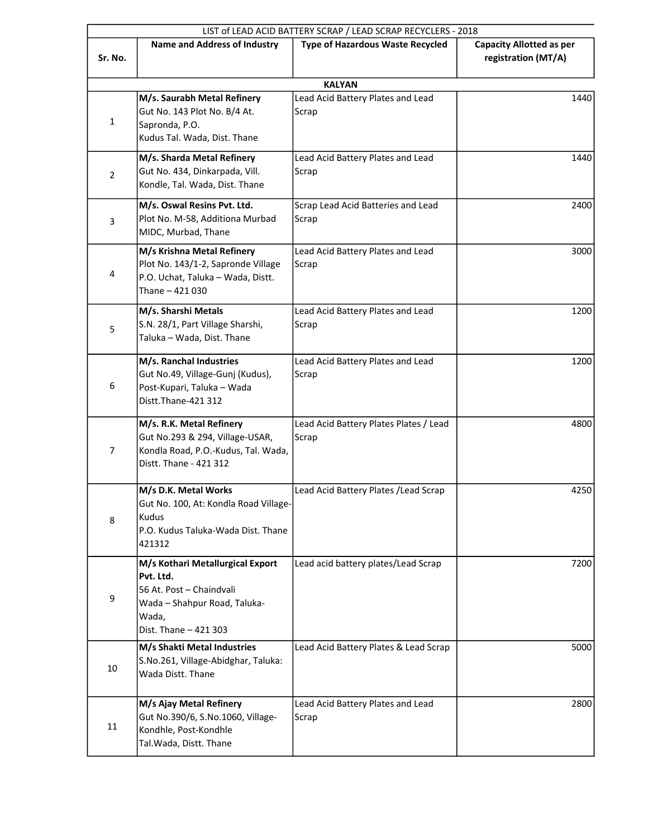|                |                                                                                                                                             | LIST of LEAD ACID BATTERY SCRAP / LEAD SCRAP RECYCLERS - 2018 |                                                        |
|----------------|---------------------------------------------------------------------------------------------------------------------------------------------|---------------------------------------------------------------|--------------------------------------------------------|
| Sr. No.        | <b>Name and Address of Industry</b>                                                                                                         | <b>Type of Hazardous Waste Recycled</b>                       | <b>Capacity Allotted as per</b><br>registration (MT/A) |
|                |                                                                                                                                             | <b>KALYAN</b>                                                 |                                                        |
| $\mathbf{1}$   | M/s. Saurabh Metal Refinery<br>Gut No. 143 Plot No. B/4 At.<br>Sapronda, P.O.<br>Kudus Tal. Wada, Dist. Thane                               | Lead Acid Battery Plates and Lead<br>Scrap                    | 1440                                                   |
| $\overline{2}$ | M/s. Sharda Metal Refinery<br>Gut No. 434, Dinkarpada, Vill.<br>Kondle, Tal. Wada, Dist. Thane                                              | Lead Acid Battery Plates and Lead<br>Scrap                    | 1440                                                   |
| 3              | M/s. Oswal Resins Pvt. Ltd.<br>Plot No. M-58, Additiona Murbad<br>MIDC, Murbad, Thane                                                       | Scrap Lead Acid Batteries and Lead<br>Scrap                   | 2400                                                   |
| 4              | M/s Krishna Metal Refinery<br>Plot No. 143/1-2, Sapronde Village<br>P.O. Uchat, Taluka - Wada, Distt.<br>Thane - 421 030                    | Lead Acid Battery Plates and Lead<br>Scrap                    | 3000                                                   |
| 5              | M/s. Sharshi Metals<br>S.N. 28/1, Part Village Sharshi,<br>Taluka - Wada, Dist. Thane                                                       | Lead Acid Battery Plates and Lead<br>Scrap                    | 1200                                                   |
| 6              | M/s. Ranchal Industries<br>Gut No.49, Village-Gunj (Kudus),<br>Post-Kupari, Taluka - Wada<br>Distt.Thane-421 312                            | Lead Acid Battery Plates and Lead<br>Scrap                    | 1200                                                   |
| 7              | M/s. R.K. Metal Refinery<br>Gut No.293 & 294, Village-USAR,<br>Kondla Road, P.O.-Kudus, Tal. Wada,<br>Distt. Thane - 421 312                | Lead Acid Battery Plates Plates / Lead<br>Scrap               | 4800                                                   |
| 8              | M/s D.K. Metal Works<br>Gut No. 100, At: Kondla Road Village-<br>Kudus<br>P.O. Kudus Taluka-Wada Dist. Thane<br>421312                      | Lead Acid Battery Plates / Lead Scrap                         | 4250                                                   |
| 9              | M/s Kothari Metallurgical Export<br>Pvt. Ltd.<br>56 At. Post - Chaindvali<br>Wada - Shahpur Road, Taluka-<br>Wada,<br>Dist. Thane - 421 303 | Lead acid battery plates/Lead Scrap                           | 7200                                                   |
| 10             | M/s Shakti Metal Industries<br>S.No.261, Village-Abidghar, Taluka:<br>Wada Distt. Thane                                                     | Lead Acid Battery Plates & Lead Scrap                         | 5000                                                   |
| 11             | M/s Ajay Metal Refinery<br>Gut No.390/6, S.No.1060, Village-<br>Kondhle, Post-Kondhle<br>Tal. Wada, Distt. Thane                            | Lead Acid Battery Plates and Lead<br>Scrap                    | 2800                                                   |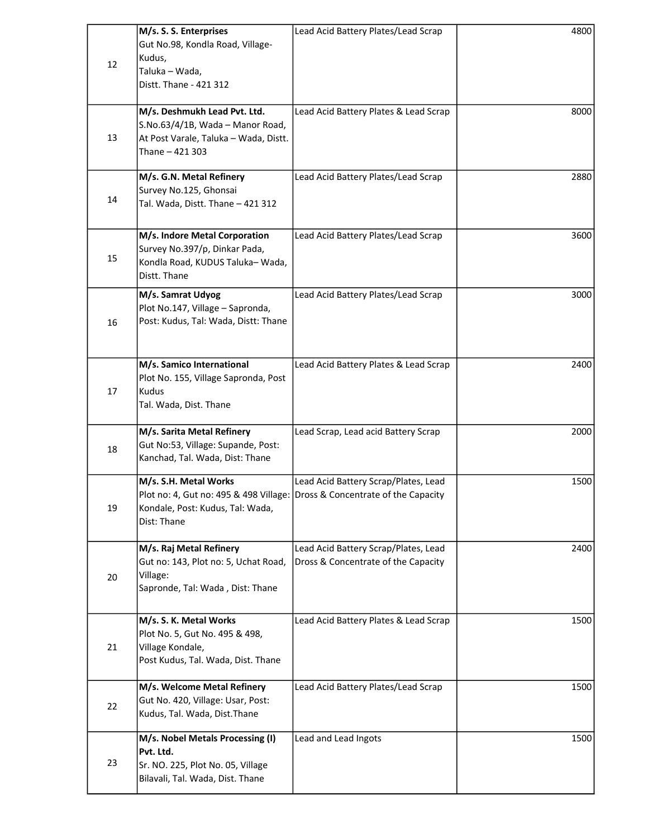| 12 | M/s. S. S. Enterprises<br>Gut No.98, Kondla Road, Village-<br>Kudus,<br>Taluka - Wada,<br>Distt. Thane - 421 312                                       | Lead Acid Battery Plates/Lead Scrap                                         | 4800 |
|----|--------------------------------------------------------------------------------------------------------------------------------------------------------|-----------------------------------------------------------------------------|------|
| 13 | M/s. Deshmukh Lead Pvt. Ltd.<br>S.No.63/4/1B, Wada - Manor Road,<br>At Post Varale, Taluka - Wada, Distt.<br>Thane - 421 303                           | Lead Acid Battery Plates & Lead Scrap                                       | 8000 |
| 14 | M/s. G.N. Metal Refinery<br>Survey No.125, Ghonsai<br>Tal. Wada, Distt. Thane - 421 312                                                                | Lead Acid Battery Plates/Lead Scrap                                         | 2880 |
| 15 | M/s. Indore Metal Corporation<br>Survey No.397/p, Dinkar Pada,<br>Kondla Road, KUDUS Taluka-Wada,<br>Distt. Thane                                      | Lead Acid Battery Plates/Lead Scrap                                         | 3600 |
| 16 | M/s. Samrat Udyog<br>Plot No.147, Village - Sapronda,<br>Post: Kudus, Tal: Wada, Distt: Thane                                                          | Lead Acid Battery Plates/Lead Scrap                                         | 3000 |
| 17 | M/s. Samico International<br>Plot No. 155, Village Sapronda, Post<br>Kudus<br>Tal. Wada, Dist. Thane                                                   | Lead Acid Battery Plates & Lead Scrap                                       | 2400 |
| 18 | M/s. Sarita Metal Refinery<br>Gut No:53, Village: Supande, Post:<br>Kanchad, Tal. Wada, Dist: Thane                                                    | Lead Scrap, Lead acid Battery Scrap                                         | 2000 |
| 19 | M/s. S.H. Metal Works<br>Plot no: 4, Gut no: 495 & 498 Village: Dross & Concentrate of the Capacity<br>Kondale, Post: Kudus, Tal: Wada,<br>Dist: Thane | Lead Acid Battery Scrap/Plates, Lead                                        | 1500 |
| 20 | M/s. Raj Metal Refinery<br>Gut no: 143, Plot no: 5, Uchat Road,<br>Village:<br>Sapronde, Tal: Wada, Dist: Thane                                        | Lead Acid Battery Scrap/Plates, Lead<br>Dross & Concentrate of the Capacity | 2400 |
| 21 | M/s. S. K. Metal Works<br>Plot No. 5, Gut No. 495 & 498,<br>Village Kondale,<br>Post Kudus, Tal. Wada, Dist. Thane                                     | Lead Acid Battery Plates & Lead Scrap                                       | 1500 |
| 22 | M/s. Welcome Metal Refinery<br>Gut No. 420, Village: Usar, Post:<br>Kudus, Tal. Wada, Dist. Thane                                                      | Lead Acid Battery Plates/Lead Scrap                                         | 1500 |
| 23 | M/s. Nobel Metals Processing (I)<br>Pvt. Ltd.<br>Sr. NO. 225, Plot No. 05, Village<br>Bilavali, Tal. Wada, Dist. Thane                                 | Lead and Lead Ingots                                                        | 1500 |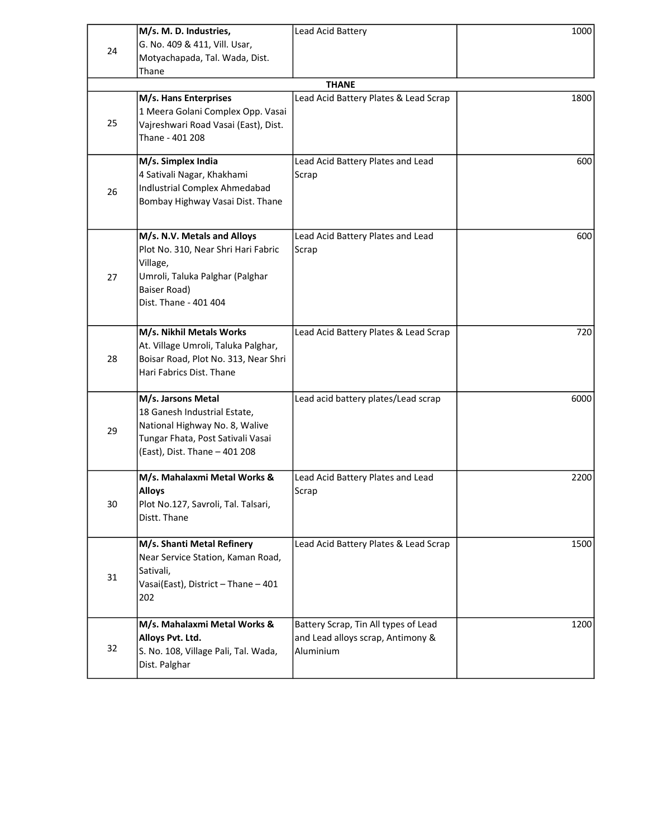| 24 | M/s. M. D. Industries,<br>G. No. 409 & 411, Vill. Usar,                                                                                                    | Lead Acid Battery                                                                      | 1000 |  |
|----|------------------------------------------------------------------------------------------------------------------------------------------------------------|----------------------------------------------------------------------------------------|------|--|
|    | Motyachapada, Tal. Wada, Dist.<br>Thane                                                                                                                    |                                                                                        |      |  |
|    | <b>THANE</b>                                                                                                                                               |                                                                                        |      |  |
| 25 | M/s. Hans Enterprises<br>1 Meera Golani Complex Opp. Vasai<br>Vajreshwari Road Vasai (East), Dist.<br>Thane - 401 208                                      | Lead Acid Battery Plates & Lead Scrap                                                  | 1800 |  |
| 26 | M/s. Simplex India<br>4 Sativali Nagar, Khakhami<br>Indlustrial Complex Ahmedabad<br>Bombay Highway Vasai Dist. Thane                                      | Lead Acid Battery Plates and Lead<br>Scrap                                             | 600  |  |
| 27 | M/s. N.V. Metals and Alloys<br>Plot No. 310, Near Shri Hari Fabric<br>Village,<br>Umroli, Taluka Palghar (Palghar<br>Baiser Road)<br>Dist. Thane - 401 404 | Lead Acid Battery Plates and Lead<br>Scrap                                             | 600  |  |
| 28 | M/s. Nikhil Metals Works<br>At. Village Umroli, Taluka Palghar,<br>Boisar Road, Plot No. 313, Near Shri<br>Hari Fabrics Dist. Thane                        | Lead Acid Battery Plates & Lead Scrap                                                  | 720  |  |
| 29 | M/s. Jarsons Metal<br>18 Ganesh Industrial Estate,<br>National Highway No. 8, Walive<br>Tungar Fhata, Post Sativali Vasai<br>(East), Dist. Thane - 401 208 | Lead acid battery plates/Lead scrap                                                    | 6000 |  |
| 30 | M/s. Mahalaxmi Metal Works &<br><b>Alloys</b><br>Plot No.127, Savroli, Tal. Talsari,<br>Distt. Thane                                                       | Lead Acid Battery Plates and Lead<br>Scrap                                             | 2200 |  |
| 31 | M/s. Shanti Metal Refinery<br>Near Service Station, Kaman Road,<br>Sativali,<br>Vasai(East), District - Thane - 401<br>202                                 | Lead Acid Battery Plates & Lead Scrap                                                  | 1500 |  |
| 32 | M/s. Mahalaxmi Metal Works &<br>Alloys Pvt. Ltd.<br>S. No. 108, Village Pali, Tal. Wada,<br>Dist. Palghar                                                  | Battery Scrap, Tin All types of Lead<br>and Lead alloys scrap, Antimony &<br>Aluminium | 1200 |  |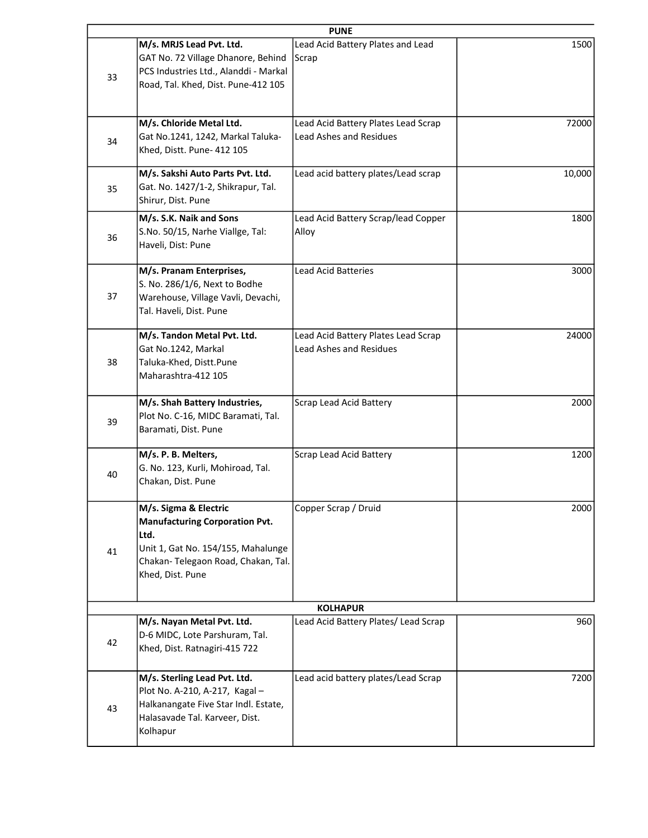|                                                                                                                                                                        | <b>PUNE</b>                                                           |        |
|------------------------------------------------------------------------------------------------------------------------------------------------------------------------|-----------------------------------------------------------------------|--------|
| M/s. MRJS Lead Pvt. Ltd.<br>GAT No. 72 Village Dhanore, Behind<br>PCS Industries Ltd., Alanddi - Markal<br>Road, Tal. Khed, Dist. Pune-412 105                         | Lead Acid Battery Plates and Lead<br>Scrap                            | 1500   |
| M/s. Chloride Metal Ltd.<br>Gat No.1241, 1242, Markal Taluka-<br>Khed, Distt. Pune- 412 105                                                                            | Lead Acid Battery Plates Lead Scrap<br><b>Lead Ashes and Residues</b> | 72000  |
| M/s. Sakshi Auto Parts Pvt. Ltd.<br>Gat. No. 1427/1-2, Shikrapur, Tal.<br>Shirur, Dist. Pune                                                                           | Lead acid battery plates/Lead scrap                                   | 10,000 |
| M/s. S.K. Naik and Sons<br>S.No. 50/15, Narhe Viallge, Tal:<br>Haveli, Dist: Pune                                                                                      | Lead Acid Battery Scrap/lead Copper<br>Alloy                          | 1800   |
| M/s. Pranam Enterprises,<br>S. No. 286/1/6, Next to Bodhe<br>Warehouse, Village Vavli, Devachi,<br>Tal. Haveli, Dist. Pune                                             | <b>Lead Acid Batteries</b>                                            | 3000   |
| M/s. Tandon Metal Pvt. Ltd.<br>Gat No.1242, Markal<br>Taluka-Khed, Distt.Pune<br>Maharashtra-412 105                                                                   | Lead Acid Battery Plates Lead Scrap<br><b>Lead Ashes and Residues</b> | 24000  |
| M/s. Shah Battery Industries,<br>Plot No. C-16, MIDC Baramati, Tal.<br>Baramati, Dist. Pune                                                                            | Scrap Lead Acid Battery                                               | 2000   |
| M/s. P. B. Melters,<br>G. No. 123, Kurli, Mohiroad, Tal.<br>Chakan, Dist. Pune                                                                                         | Scrap Lead Acid Battery                                               | 1200   |
| M/s. Sigma & Electric<br><b>Manufacturing Corporation Pvt.</b><br>Ltd.<br>Unit 1, Gat No. 154/155, Mahalunge<br>Chakan-Telegaon Road, Chakan, Tal.<br>Khed, Dist. Pune | Copper Scrap / Druid                                                  | 2000   |
|                                                                                                                                                                        | <b>KOLHAPUR</b>                                                       |        |
| M/s. Nayan Metal Pvt. Ltd.<br>D-6 MIDC, Lote Parshuram, Tal.<br>Khed, Dist. Ratnagiri-415 722                                                                          | Lead Acid Battery Plates/ Lead Scrap                                  | 960    |
| M/s. Sterling Lead Pvt. Ltd.<br>Plot No. A-210, A-217, Kagal-<br>Halkanangate Five Star Indl. Estate,<br>Halasavade Tal. Karveer, Dist.<br>Kolhapur                    | Lead acid battery plates/Lead Scrap                                   | 7200   |
|                                                                                                                                                                        |                                                                       |        |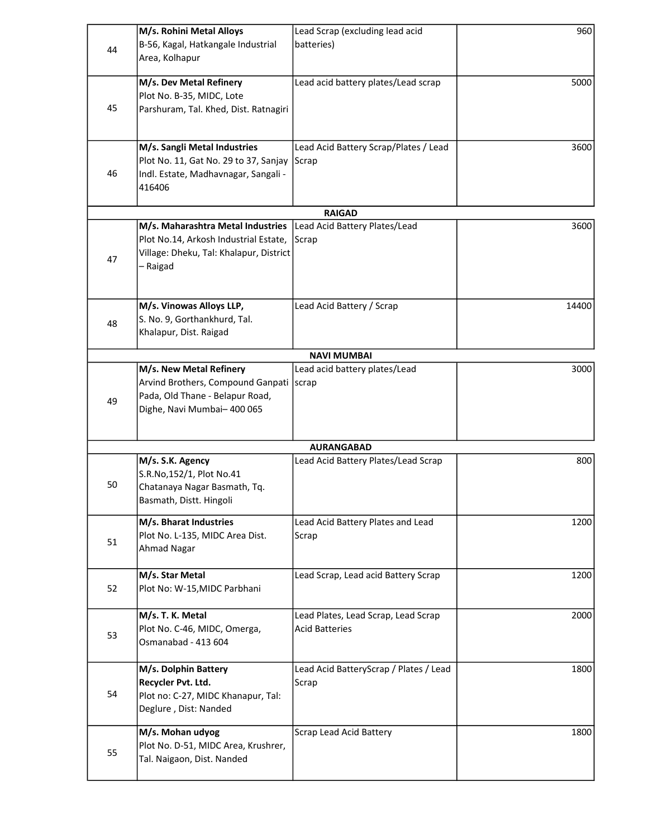|    | M/s. Rohini Metal Alloys                                                                                                          | Lead Scrap (excluding lead acid                              | 960   |
|----|-----------------------------------------------------------------------------------------------------------------------------------|--------------------------------------------------------------|-------|
| 44 | B-56, Kagal, Hatkangale Industrial<br>Area, Kolhapur                                                                              | batteries)                                                   |       |
| 45 | M/s. Dev Metal Refinery<br>Plot No. B-35, MIDC, Lote<br>Parshuram, Tal. Khed, Dist. Ratnagiri                                     | Lead acid battery plates/Lead scrap                          | 5000  |
|    |                                                                                                                                   |                                                              |       |
| 46 | M/s. Sangli Metal Industries<br>Plot No. 11, Gat No. 29 to 37, Sanjay<br>Indl. Estate, Madhavnagar, Sangali -<br>416406           | Lead Acid Battery Scrap/Plates / Lead<br>Scrap               | 3600  |
|    |                                                                                                                                   | <b>RAIGAD</b>                                                |       |
| 47 | M/s. Maharashtra Metal Industries<br>Plot No.14, Arkosh Industrial Estate,<br>Village: Dheku, Tal: Khalapur, District<br>- Raigad | Lead Acid Battery Plates/Lead<br>Scrap                       | 3600  |
| 48 | M/s. Vinowas Alloys LLP,<br>S. No. 9, Gorthankhurd, Tal.<br>Khalapur, Dist. Raigad                                                | Lead Acid Battery / Scrap                                    | 14400 |
|    |                                                                                                                                   | <b>NAVI MUMBAI</b>                                           |       |
| 49 | M/s. New Metal Refinery<br>Arvind Brothers, Compound Ganpati<br>Pada, Old Thane - Belapur Road,<br>Dighe, Navi Mumbai-400 065     | Lead acid battery plates/Lead<br>scrap                       | 3000  |
|    |                                                                                                                                   | <b>AURANGABAD</b>                                            |       |
| 50 | M/s. S.K. Agency<br>S.R.No,152/1, Plot No.41<br>Chatanaya Nagar Basmath, Tq.<br>Basmath, Distt. Hingoli                           | Lead Acid Battery Plates/Lead Scrap                          | 800   |
| 51 | M/s. Bharat Industries<br>Plot No. L-135, MIDC Area Dist.<br><b>Ahmad Nagar</b>                                                   | Lead Acid Battery Plates and Lead<br>Scrap                   | 1200  |
| 52 | M/s. Star Metal<br>Plot No: W-15, MIDC Parbhani                                                                                   | Lead Scrap, Lead acid Battery Scrap                          | 1200  |
| 53 | M/s. T. K. Metal<br>Plot No. C-46, MIDC, Omerga,<br>Osmanabad - 413 604                                                           | Lead Plates, Lead Scrap, Lead Scrap<br><b>Acid Batteries</b> | 2000  |
| 54 | M/s. Dolphin Battery<br>Recycler Pvt. Ltd.<br>Plot no: C-27, MIDC Khanapur, Tal:<br>Deglure, Dist: Nanded                         | Lead Acid BatteryScrap / Plates / Lead<br>Scrap              | 1800  |
| 55 | M/s. Mohan udyog<br>Plot No. D-51, MIDC Area, Krushrer,<br>Tal. Naigaon, Dist. Nanded                                             | Scrap Lead Acid Battery                                      | 1800  |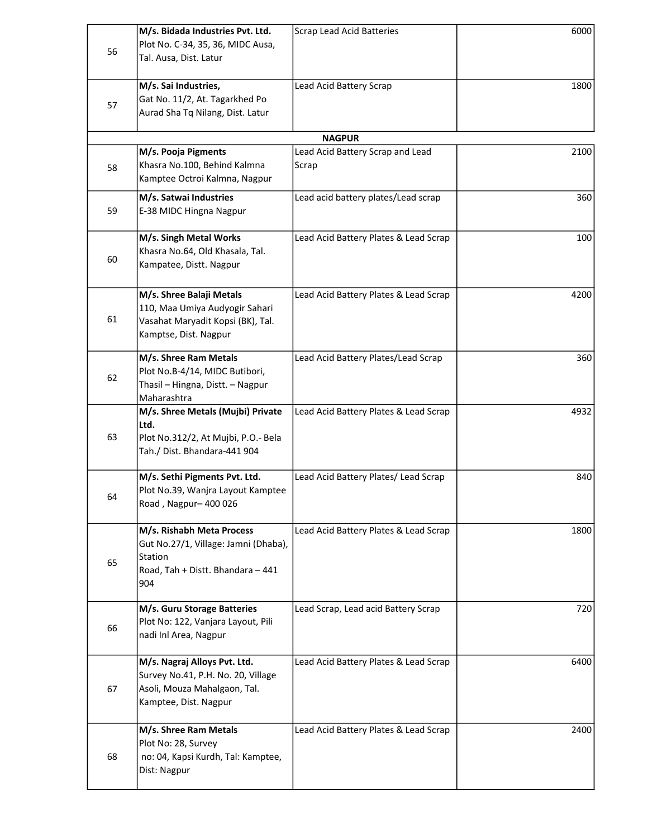|    | M/s. Bidada Industries Pvt. Ltd.<br>Plot No. C-34, 35, 36, MIDC Ausa, | <b>Scrap Lead Acid Batteries</b>                  | 6000 |
|----|-----------------------------------------------------------------------|---------------------------------------------------|------|
| 56 | Tal. Ausa, Dist. Latur                                                |                                                   |      |
|    | M/s. Sai Industries,                                                  | Lead Acid Battery Scrap                           | 1800 |
| 57 | Gat No. 11/2, At. Tagarkhed Po                                        |                                                   |      |
|    | Aurad Sha Tq Nilang, Dist. Latur                                      |                                                   |      |
|    | M/s. Pooja Pigments                                                   | <b>NAGPUR</b><br>Lead Acid Battery Scrap and Lead | 2100 |
| 58 | Khasra No.100, Behind Kalmna                                          | Scrap                                             |      |
|    | Kamptee Octroi Kalmna, Nagpur                                         |                                                   |      |
|    | M/s. Satwai Industries                                                | Lead acid battery plates/Lead scrap               | 360  |
| 59 | E-38 MIDC Hingna Nagpur                                               |                                                   |      |
|    | M/s. Singh Metal Works                                                | Lead Acid Battery Plates & Lead Scrap             | 100  |
| 60 | Khasra No.64, Old Khasala, Tal.                                       |                                                   |      |
|    | Kampatee, Distt. Nagpur                                               |                                                   |      |
|    | M/s. Shree Balaji Metals                                              | Lead Acid Battery Plates & Lead Scrap             | 4200 |
| 61 | 110, Maa Umiya Audyogir Sahari                                        |                                                   |      |
|    | Vasahat Maryadit Kopsi (BK), Tal.<br>Kamptse, Dist. Nagpur            |                                                   |      |
|    | M/s. Shree Ram Metals                                                 | Lead Acid Battery Plates/Lead Scrap               | 360  |
|    | Plot No.B-4/14, MIDC Butibori,                                        |                                                   |      |
| 62 | Thasil - Hingna, Distt. - Nagpur                                      |                                                   |      |
|    | Maharashtra                                                           |                                                   |      |
|    | M/s. Shree Metals (Mujbi) Private<br>Ltd.                             | Lead Acid Battery Plates & Lead Scrap             | 4932 |
| 63 | Plot No.312/2, At Mujbi, P.O.- Bela                                   |                                                   |      |
|    | Tah./ Dist. Bhandara-441 904                                          |                                                   |      |
|    | M/s. Sethi Pigments Pvt. Ltd.                                         | Lead Acid Battery Plates/ Lead Scrap              | 840  |
| 64 | Plot No.39, Wanjra Layout Kamptee                                     |                                                   |      |
|    | Road, Nagpur-400 026                                                  |                                                   |      |
|    | M/s. Rishabh Meta Process                                             | Lead Acid Battery Plates & Lead Scrap             | 1800 |
|    | Gut No.27/1, Village: Jamni (Dhaba),<br>Station                       |                                                   |      |
| 65 | Road, Tah + Distt. Bhandara - 441                                     |                                                   |      |
|    | 904                                                                   |                                                   |      |
|    | M/s. Guru Storage Batteries                                           | Lead Scrap, Lead acid Battery Scrap               | 720  |
| 66 | Plot No: 122, Vanjara Layout, Pili                                    |                                                   |      |
|    | nadi Inl Area, Nagpur                                                 |                                                   |      |
|    | M/s. Nagraj Alloys Pvt. Ltd.                                          | Lead Acid Battery Plates & Lead Scrap             | 6400 |
| 67 | Survey No.41, P.H. No. 20, Village<br>Asoli, Mouza Mahalgaon, Tal.    |                                                   |      |
|    | Kamptee, Dist. Nagpur                                                 |                                                   |      |
|    |                                                                       |                                                   |      |
|    | M/s. Shree Ram Metals<br>Plot No: 28, Survey                          | Lead Acid Battery Plates & Lead Scrap             | 2400 |
| 68 | no: 04, Kapsi Kurdh, Tal: Kamptee,                                    |                                                   |      |
|    | Dist: Nagpur                                                          |                                                   |      |
|    |                                                                       |                                                   |      |